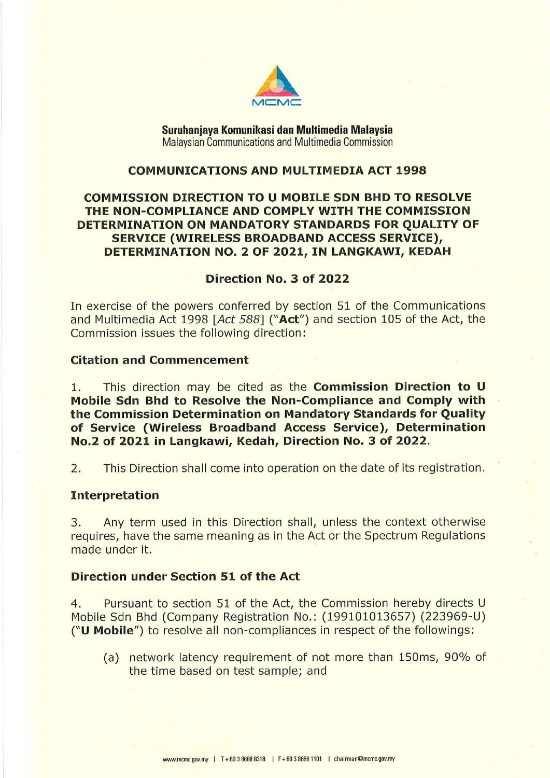

**Suruhanjaya Komunikasi dan Multimedia Malaysia**  Malaysian Communications and Multimedia Commission

## **COMMUNICATIONS AND MULTIMEDIA ACT 1998**

# **COMMISSION DIRECTION TO U MOBILE SDN BHD TO RESOLVE THE NON-COMPLIANCE AND COMPLY WITH THE COMMISSION DETERMINATION ON MANDATORY STANDARDS FOR QUALITY OF SERVICE (WIRELESS BROADBAND ACCESS SERVICE), DETERMINATION NO. 2 OF 2021, IN LANGKAWI, KEDAH**

#### **Direction No. 3 of 2022**

In exercise of the powers conferred by section 51 of the Communications and Multimedia Act 1998 *[Act 588]* **("Act")** and section 105 of the Act, the Commission issues the following direction:

## **Citation and Commencement**

1. This direction may be cited as the **Commission Direction to U Mobile Sdn Bhd to Resolve the Non-Compliance and Comply with the Commission Determination on Mandatory Standards for Quality of Service (Wireless Broadband Access Service), Determination No.2 of 2021 in Langkawi, Kedah, Direction No. 3 of 2022.** 

2. This Direction shall come into operation on the date of its registration.

#### **Interpretation**

3. Any term used in this Direction shall, unless the context otherwise requires, have the same meaning as in the Act or the Spectrum Regulations made under it.

### **Direction under Section 51 of the Act**

4. Pursuant to section 51 of the Act, the Commission hereby directs U Mobile Sdn Bhd (Company Registration No.: (199101013657) (223969-U) **("U Mobile")** to resolve all non-compliances in respect of the followings:

(a) network latency requirement of not more than 150ms, 90% of the time based on test sample; and